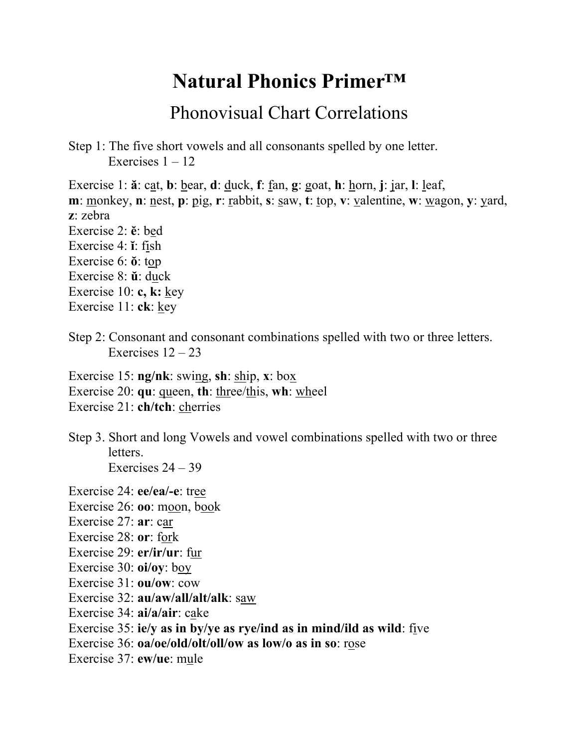## **Natural Phonics Primer™**

## Phonovisual Chart Correlations

Step 1: The five short vowels and all consonants spelled by one letter. Exercises  $1 - 12$ 

Exercise 1: **ă**: cat, **b**: bear, **d**: duck, **f**: fan, **g**: goat, **h**: horn, **j**: jar, **l**: leaf, **m**: <u>m</u>onkey, **n**: <u>nest</u>, **p**: pig, **r**: <u>r</u>abbit, **s**: saw, **t**: <u>t</u>op, **v**: <u>valentine</u>, **w**: <u>wagon, **y**: yard,</u> **z**: zebra Exercise 2: **ĕ**: bed Exercise 4: **ĭ**: fish Exercise 6: **ŏ**: top Exercise 8: **ŭ**: duck Exercise 10: **c, k:** key Exercise 11: **ck**: key

Step 2: Consonant and consonant combinations spelled with two or three letters. Exercises  $12 - 23$ 

Exercise 15: **ng/nk**: swing, **sh**: ship, **x**: box

Exercise 20: **qu**: queen, **th**: three/this, **wh**: wheel

Exercise 21: **ch/tch**: cherries

Step 3. Short and long Vowels and vowel combinations spelled with two or three letters. Exercises  $24 - 39$ 

Exercise 24: **ee/ea/-e**: tree

- Exercise 26: **oo**: moon, book
- Exercise 27: **ar**: car
- Exercise 28: **or**: fork
- Exercise 29: **er/ir/ur**: fur
- Exercise 30: **oi/oy**: boy
- Exercise 31: **ou/ow**: cow
- Exercise 32: **au/aw/all/alt/alk**: saw
- Exercise 34: **ai/a/air**: cake
- Exercise 35: **ie/y as in by/ye as rye/ind as in mind/ild as wild**: five
- Exercise 36: **oa/oe/old/olt/oll/ow as low/o as in so**: rose
- Exercise 37: **ew/ue**: mule